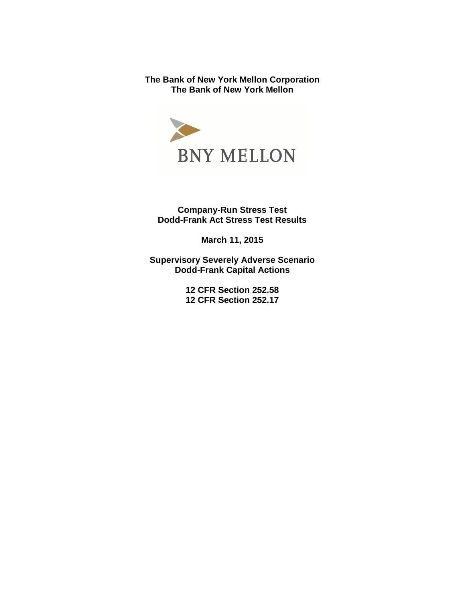**The Bank of New York Mellon Corporation The Bank of New York Mellon** 



**Company-Run Stress Test Dodd-Frank Act Stress Test Results** 

**March 11, 2015** 

**Supervisory Severely Adverse Scenario Dodd-Frank Capital Actions** 

> **12 CFR Section 252.58 12 CFR Section 252.17**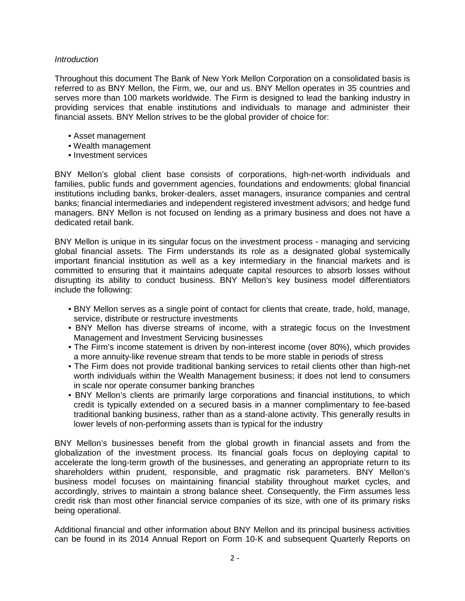#### **Introduction**

Throughout this document The Bank of New York Mellon Corporation on a consolidated basis is referred to as BNY Mellon, the Firm, we, our and us. BNY Mellon operates in 35 countries and serves more than 100 markets worldwide. The Firm is designed to lead the banking industry in providing services that enable institutions and individuals to manage and administer their financial assets. BNY Mellon strives to be the global provider of choice for:

- Asset management
- Wealth management
- Investment services

BNY Mellon's global client base consists of corporations, high-net-worth individuals and families, public funds and government agencies, foundations and endowments; global financial institutions including banks, broker-dealers, asset managers, insurance companies and central banks; financial intermediaries and independent registered investment advisors; and hedge fund managers. BNY Mellon is not focused on lending as a primary business and does not have a dedicated retail bank.

BNY Mellon is unique in its singular focus on the investment process - managing and servicing global financial assets. The Firm understands its role as a designated global systemically important financial institution as well as a key intermediary in the financial markets and is committed to ensuring that it maintains adequate capital resources to absorb losses without disrupting its ability to conduct business. BNY Mellon's key business model differentiators include the following:

- BNY Mellon serves as a single point of contact for clients that create, trade, hold, manage, service, distribute or restructure investments
- BNY Mellon has diverse streams of income, with a strategic focus on the Investment Management and Investment Servicing businesses
- The Firm's income statement is driven by non-interest income (over 80%), which provides a more annuity-like revenue stream that tends to be more stable in periods of stress
- The Firm does not provide traditional banking services to retail clients other than high-net worth individuals within the Wealth Management business; it does not lend to consumers in scale nor operate consumer banking branches
- BNY Mellon's clients are primarily large corporations and financial institutions, to which credit is typically extended on a secured basis in a manner complimentary to fee-based traditional banking business, rather than as a stand-alone activity. This generally results in lower levels of non-performing assets than is typical for the industry

BNY Mellon's businesses benefit from the global growth in financial assets and from the globalization of the investment process. Its financial goals focus on deploying capital to accelerate the long-term growth of the businesses, and generating an appropriate return to its shareholders within prudent, responsible, and pragmatic risk parameters. BNY Mellon's business model focuses on maintaining financial stability throughout market cycles, and accordingly, strives to maintain a strong balance sheet. Consequently, the Firm assumes less credit risk than most other financial service companies of its size, with one of its primary risks being operational.

Additional financial and other information about BNY Mellon and its principal business activities can be found in its 2014 Annual Report on Form 10-K and subsequent Quarterly Reports on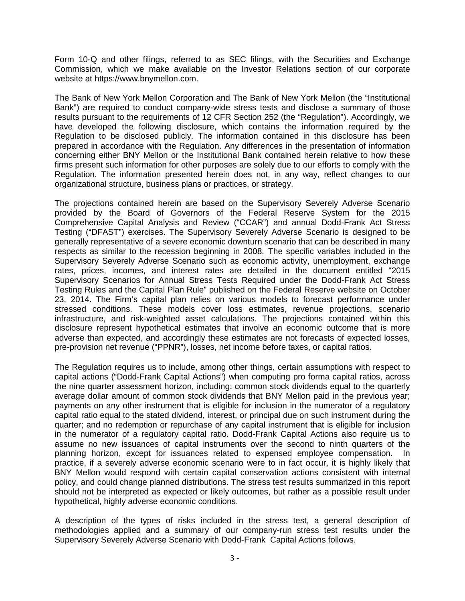Form 10-Q and other filings, referred to as SEC filings, with the Securities and Exchange Commission, which we make available on the Investor Relations section of our corporate website at [https://www.bnymellon.com](http:https://www.bnymellon.com).

The Bank of New York Mellon Corporation and The Bank of New York Mellon (the "Institutional Bank") are required to conduct company-wide stress tests and disclose a summary of those results pursuant to the requirements of 12 CFR Section 252 (the "Regulation"). Accordingly, we have developed the following disclosure, which contains the information required by the Regulation to be disclosed publicly. The information contained in this disclosure has been prepared in accordance with the Regulation. Any differences in the presentation of information concerning either BNY Mellon or the Institutional Bank contained herein relative to how these firms present such information for other purposes are solely due to our efforts to comply with the Regulation. The information presented herein does not, in any way, reflect changes to our organizational structure, business plans or practices, or strategy.

The projections contained herein are based on the Supervisory Severely Adverse Scenario provided by the Board of Governors of the Federal Reserve System for the 2015 Comprehensive Capital Analysis and Review ("CCAR") and annual Dodd-Frank Act Stress Testing ("DFAST") exercises. The Supervisory Severely Adverse Scenario is designed to be generally representative of a severe economic downturn scenario that can be described in many respects as similar to the recession beginning in 2008. The specific variables included in the Supervisory Severely Adverse Scenario such as economic activity, unemployment, exchange rates, prices, incomes, and interest rates are detailed in the document entitled "2015 Supervisory Scenarios for Annual Stress Tests Required under the Dodd-Frank Act Stress Testing Rules and the Capital Plan Rule" published on the Federal Reserve website on October 23, 2014. The Firm's capital plan relies on various models to forecast performance under stressed conditions. These models cover loss estimates, revenue projections, scenario infrastructure, and risk-weighted asset calculations. The projections contained within this disclosure represent hypothetical estimates that involve an economic outcome that is more adverse than expected, and accordingly these estimates are not forecasts of expected losses, pre-provision net revenue ("PPNR"), losses, net income before taxes, or capital ratios.

The Regulation requires us to include, among other things, certain assumptions with respect to capital actions ("Dodd-Frank Capital Actions") when computing pro forma capital ratios, across the nine quarter assessment horizon, including: common stock dividends equal to the quarterly average dollar amount of common stock dividends that BNY Mellon paid in the previous year; payments on any other instrument that is eligible for inclusion in the numerator of a regulatory capital ratio equal to the stated dividend, interest, or principal due on such instrument during the quarter; and no redemption or repurchase of any capital instrument that is eligible for inclusion in the numerator of a regulatory capital ratio. Dodd-Frank Capital Actions also require us to assume no new issuances of capital instruments over the second to ninth quarters of the planning horizon, except for issuances related to expensed employee compensation. In practice, if a severely adverse economic scenario were to in fact occur, it is highly likely that BNY Mellon would respond with certain capital conservation actions consistent with internal policy, and could change planned distributions. The stress test results summarized in this report should not be interpreted as expected or likely outcomes, but rather as a possible result under hypothetical, highly adverse economic conditions.

A description of the types of risks included in the stress test, a general description of methodologies applied and a summary of our company-run stress test results under the Supervisory Severely Adverse Scenario with Dodd-Frank Capital Actions follows.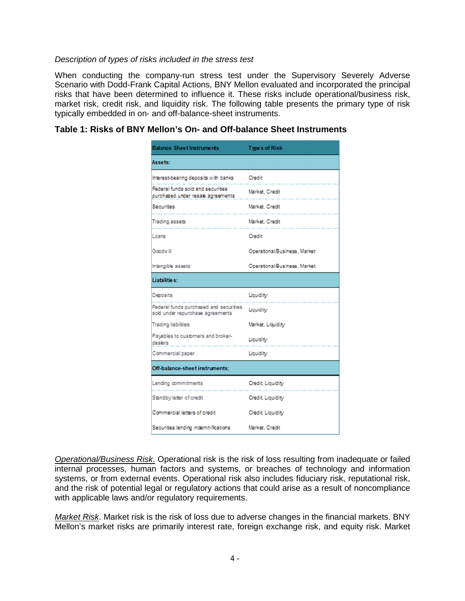#### Description of types of risks included in the stress test

When conducting the company-run stress test under the Supervisory Severely Adverse Scenario with Dodd-Frank Capital Actions, BNY Mellon evaluated and incorporated the principal risks that have been determined to influence it. These risks include operational/business risk, market risk, credit risk, and liquidity risk. The following table presents the primary type of risk typically embedded in on- and off-balance-sheet instruments.

# **Table 1: Risks of BNY Mellon's On- and Off-balance Sheet Instruments**

| <b>Balance Sheet Instruments</b>                                           | <b>Types of Risk</b>         |
|----------------------------------------------------------------------------|------------------------------|
| Assets:                                                                    |                              |
| Interest-bearing deposits with banks                                       | Credit                       |
| Federal funds sold and securities<br>purchased under resale agreements     | Market, Credit               |
| Securities                                                                 | Market, Credit               |
| Trading assets                                                             | Market, Credit               |
| Loans                                                                      | Credit                       |
| Goodwill                                                                   | Operational/Business, Market |
| Intangible assets                                                          | Operational/Business, Market |
| Liabilities:                                                               |                              |
| Deposits                                                                   | Liquidity                    |
| Federal funds purchased and securities<br>sold under repurchase agreements | Liquidity                    |
| <b>Trading liabilities</b>                                                 | Market, Liquidity            |
| Payables to customers and broker-<br>dealers                               | Liquidity                    |
| Commercial paper                                                           | Liquidity                    |
| Off-balance-sheet instruments:                                             |                              |
| Lending commitments                                                        | Credit, Liquidity            |
| Standby letter of credit                                                   | Credit, Liquidity            |
| Commercial letters of credit                                               | Credit, Liquidity            |
| Securities lending indemnifications                                        |                              |

Operational/Business Risk. Operational risk is the risk of loss resulting from inadequate or failed internal processes, human factors and systems, or breaches of technology and information systems, or from external events. Operational risk also includes fiduciary risk, reputational risk, and the risk of potential legal or regulatory actions that could arise as a result of noncompliance with applicable laws and/or regulatory requirements.

Market Risk. Market risk is the risk of loss due to adverse changes in the financial markets. BNY Mellon's market risks are primarily interest rate, foreign exchange risk, and equity risk. Market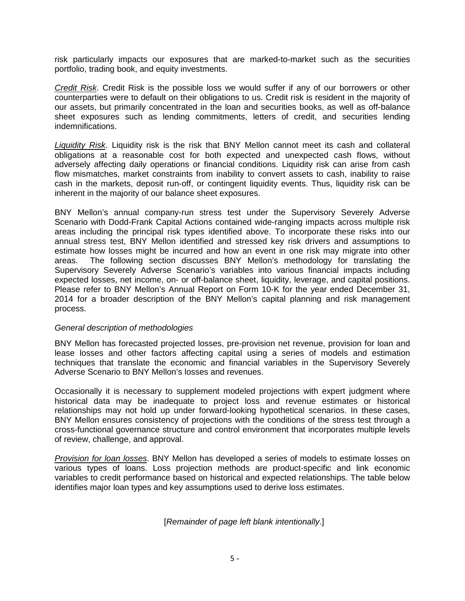risk particularly impacts our exposures that are marked-to-market such as the securities portfolio, trading book, and equity investments.

Credit Risk. Credit Risk is the possible loss we would suffer if any of our borrowers or other counterparties were to default on their obligations to us. Credit risk is resident in the majority of our assets, but primarily concentrated in the loan and securities books, as well as off-balance sheet exposures such as lending commitments, letters of credit, and securities lending indemnifications.

Liquidity Risk. Liquidity risk is the risk that BNY Mellon cannot meet its cash and collateral obligations at a reasonable cost for both expected and unexpected cash flows, without adversely affecting daily operations or financial conditions. Liquidity risk can arise from cash flow mismatches, market constraints from inability to convert assets to cash, inability to raise cash in the markets, deposit run-off, or contingent liquidity events. Thus, liquidity risk can be inherent in the majority of our balance sheet exposures.

BNY Mellon's annual company-run stress test under the Supervisory Severely Adverse Scenario with Dodd-Frank Capital Actions contained wide-ranging impacts across multiple risk areas including the principal risk types identified above. To incorporate these risks into our annual stress test, BNY Mellon identified and stressed key risk drivers and assumptions to estimate how losses might be incurred and how an event in one risk may migrate into other areas. The following section discusses BNY Mellon's methodology for translating the Supervisory Severely Adverse Scenario's variables into various financial impacts including expected losses, net income, on- or off-balance sheet, liquidity, leverage, and capital positions. Please refer to BNY Mellon's Annual Report on Form 10-K for the year ended December 31, 2014 for a broader description of the BNY Mellon's capital planning and risk management process.

#### General description of methodologies

BNY Mellon has forecasted projected losses, pre-provision net revenue, provision for loan and lease losses and other factors affecting capital using a series of models and estimation techniques that translate the economic and financial variables in the Supervisory Severely Adverse Scenario to BNY Mellon's losses and revenues.

Occasionally it is necessary to supplement modeled projections with expert judgment where historical data may be inadequate to project loss and revenue estimates or historical relationships may not hold up under forward-looking hypothetical scenarios. In these cases, BNY Mellon ensures consistency of projections with the conditions of the stress test through a cross-functional governance structure and control environment that incorporates multiple levels of review, challenge, and approval.

Provision for loan losses. BNY Mellon has developed a series of models to estimate losses on various types of loans. Loss projection methods are product-specific and link economic variables to credit performance based on historical and expected relationships. The table below identifies major loan types and key assumptions used to derive loss estimates.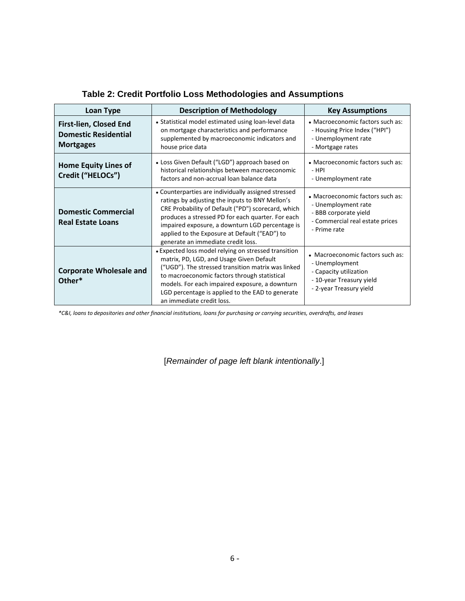| <b>Description of Methodology</b><br>Loan Type                            |                                                                                                                                                                                                                                                                                                                                                             | <b>Key Assumptions</b>                                                                                                              |
|---------------------------------------------------------------------------|-------------------------------------------------------------------------------------------------------------------------------------------------------------------------------------------------------------------------------------------------------------------------------------------------------------------------------------------------------------|-------------------------------------------------------------------------------------------------------------------------------------|
| First-lien, Closed End<br><b>Domestic Residential</b><br><b>Mortgages</b> | • Statistical model estimated using loan-level data<br>on mortgage characteristics and performance<br>supplemented by macroeconomic indicators and<br>house price data                                                                                                                                                                                      | • Macroeconomic factors such as:<br>- Housing Price Index ("HPI")<br>- Unemployment rate<br>- Mortgage rates                        |
| <b>Home Equity Lines of</b><br>Credit ("HELOCs")                          | • Loss Given Default ("LGD") approach based on<br>historical relationships between macroeconomic<br>factors and non-accrual loan balance data                                                                                                                                                                                                               | • Macroeconomic factors such as:<br>- HPI<br>- Unemployment rate                                                                    |
| <b>Domestic Commercial</b><br><b>Real Estate Loans</b>                    | • Counterparties are individually assigned stressed<br>ratings by adjusting the inputs to BNY Mellon's<br>CRE Probability of Default ("PD") scorecard, which<br>produces a stressed PD for each quarter. For each<br>impaired exposure, a downturn LGD percentage is<br>applied to the Exposure at Default ("EAD") to<br>generate an immediate credit loss. | • Macroeconomic factors such as:<br>- Unemployment rate<br>- BBB corporate yield<br>- Commercial real estate prices<br>- Prime rate |
| <b>Corporate Wholesale and</b><br>Other*                                  | • Expected loss model relying on stressed transition<br>matrix, PD, LGD, and Usage Given Default<br>("UGD"). The stressed transition matrix was linked<br>to macroeconomic factors through statistical<br>models. For each impaired exposure, a downturn<br>LGD percentage is applied to the EAD to generate<br>an immediate credit loss.                   | • Macroeconomic factors such as:<br>- Unemployment<br>- Capacity utilization<br>- 10-year Treasury yield<br>- 2-year Treasury yield |

# **Table 2: Credit Portfolio Loss Methodologies and Assumptions**

*\*C&I, loans to depositories and other financial institutions, loans for purchasing or carrying securities, overdrafts, and leases*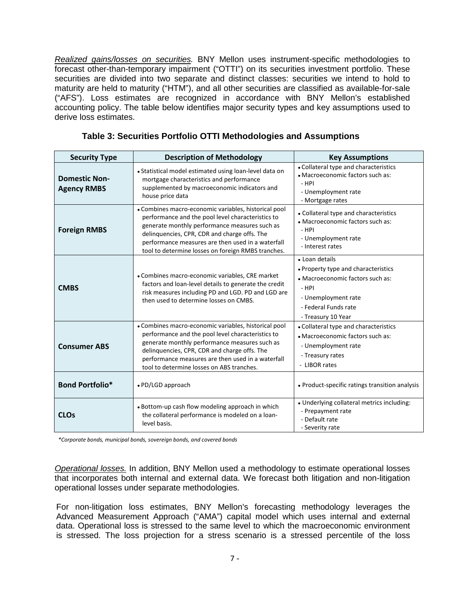Realized gains/losses on securities. BNY Mellon uses instrument-specific methodologies to forecast other-than-temporary impairment ("OTTI") on its securities investment portfolio. These securities are divided into two separate and distinct classes: securities we intend to hold to maturity are held to maturity ("HTM"), and all other securities are classified as available-for-sale ("AFS"). Loss estimates are recognized in accordance with BNY Mellon's established accounting policy. The table below identifies major security types and key assumptions used to derive loss estimates.

| <b>Security Type</b>                       | <b>Description of Methodology</b>                                                                                                                                                                                                                                                                                     | <b>Key Assumptions</b>                                                                                                                                                    |
|--------------------------------------------|-----------------------------------------------------------------------------------------------------------------------------------------------------------------------------------------------------------------------------------------------------------------------------------------------------------------------|---------------------------------------------------------------------------------------------------------------------------------------------------------------------------|
| <b>Domestic Non-</b><br><b>Agency RMBS</b> | • Statistical model estimated using loan-level data on<br>mortgage characteristics and performance<br>supplemented by macroeconomic indicators and<br>house price data                                                                                                                                                | • Collateral type and characteristics<br>• Macroeconomic factors such as:<br>- HPI<br>- Unemployment rate<br>- Mortgage rates                                             |
| <b>Foreign RMBS</b>                        | • Combines macro-economic variables, historical pool<br>performance and the pool level characteristics to<br>generate monthly performance measures such as<br>delinquencies, CPR, CDR and charge offs. The<br>performance measures are then used in a waterfall<br>tool to determine losses on foreign RMBS tranches. | • Collateral type and characteristics<br>• Macroeconomic factors such as:<br>- HPI<br>- Unemployment rate<br>- Interest rates                                             |
| <b>CMBS</b>                                | • Combines macro-economic variables, CRE market<br>factors and loan-level details to generate the credit<br>risk measures including PD and LGD. PD and LGD are<br>then used to determine losses on CMBS.                                                                                                              | • Loan details<br>• Property type and characteristics<br>• Macroeconomic factors such as:<br>$-$ HPI<br>- Unemployment rate<br>- Federal Funds rate<br>- Treasury 10 Year |
| <b>Consumer ABS</b>                        | • Combines macro-economic variables, historical pool<br>performance and the pool level characteristics to<br>generate monthly performance measures such as<br>delinquencies, CPR, CDR and charge offs. The<br>performance measures are then used in a waterfall<br>tool to determine losses on ABS tranches.          | • Collateral type and characteristics<br>• Macroeconomic factors such as:<br>- Unemployment rate<br>- Treasury rates<br>- LIBOR rates                                     |
| <b>Bond Portfolio*</b>                     | • PD/LGD approach                                                                                                                                                                                                                                                                                                     | • Product-specific ratings transition analysis                                                                                                                            |
| <b>CLOs</b>                                | • Bottom-up cash flow modeling approach in which<br>the collateral performance is modeled on a loan-<br>level basis.                                                                                                                                                                                                  | • Underlying collateral metrics including:<br>- Prepayment rate<br>- Default rate<br>- Severity rate                                                                      |

**Table 3: Securities Portfolio OTTI Methodologies and Assumptions** 

*\*Corporate bonds, municipal bonds, sovereign bonds, and covered bonds* 

Operational losses. In addition, BNY Mellon used a methodology to estimate operational losses that incorporates both internal and external data. We forecast both litigation and non-litigation operational losses under separate methodologies.

For non-litigation loss estimates, BNY Mellon's forecasting methodology leverages the Advanced Measurement Approach ("AMA") capital model which uses internal and external data. Operational loss is stressed to the same level to which the macroeconomic environment is stressed. The loss projection for a stress scenario is a stressed percentile of the loss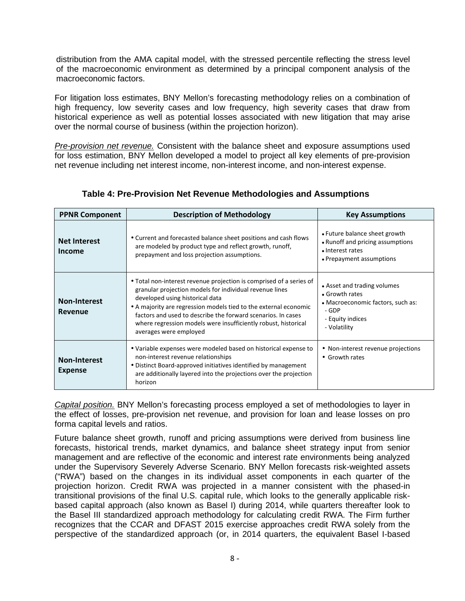distribution from the AMA capital model, with the stressed percentile reflecting the stress level of the macroeconomic environment as determined by a principal component analysis of the macroeconomic factors.

For litigation loss estimates, BNY Mellon's forecasting methodology relies on a combination of high frequency, low severity cases and low frequency, high severity cases that draw from historical experience as well as potential losses associated with new litigation that may arise over the normal course of business (within the projection horizon).

Pre-provision net revenue. Consistent with the balance sheet and exposure assumptions used for loss estimation, BNY Mellon developed a model to project all key elements of pre-provision net revenue including net interest income, non-interest income, and non-interest expense.

| <b>PPNR Component</b>                 | <b>Description of Methodology</b>                                                                                                                                                                                                                                                                                                                                                                 | <b>Key Assumptions</b>                                                                                                          |  |
|---------------------------------------|---------------------------------------------------------------------------------------------------------------------------------------------------------------------------------------------------------------------------------------------------------------------------------------------------------------------------------------------------------------------------------------------------|---------------------------------------------------------------------------------------------------------------------------------|--|
| <b>Net Interest</b><br>Income         | • Current and forecasted balance sheet positions and cash flows<br>are modeled by product type and reflect growth, runoff,<br>prepayment and loss projection assumptions.                                                                                                                                                                                                                         | • Future balance sheet growth<br>• Runoff and pricing assumptions<br>• Interest rates<br>• Prepayment assumptions               |  |
| <b>Non-Interest</b><br><b>Revenue</b> | • Total non-interest revenue projection is comprised of a series of<br>granular projection models for individual revenue lines<br>developed using historical data<br>• A majority are regression models tied to the external economic<br>factors and used to describe the forward scenarios. In cases<br>where regression models were insufficiently robust, historical<br>averages were employed | • Asset and trading volumes<br>• Growth rates<br>• Macroeconomic factors, such as:<br>- GDP<br>- Equity indices<br>- Volatility |  |
| <b>Non-Interest</b><br><b>Expense</b> | • Variable expenses were modeled based on historical expense to<br>non-interest revenue relationships<br>• Distinct Board-approved initiatives identified by management<br>are additionally layered into the projections over the projection<br>horizon                                                                                                                                           | • Non-interest revenue projections<br>• Growth rates                                                                            |  |

# **Table 4: Pre-Provision Net Revenue Methodologies and Assumptions**

Capital position. BNY Mellon's forecasting process employed a set of methodologies to layer in the effect of losses, pre-provision net revenue, and provision for loan and lease losses on pro forma capital levels and ratios.

Future balance sheet growth, runoff and pricing assumptions were derived from business line forecasts, historical trends, market dynamics, and balance sheet strategy input from senior management and are reflective of the economic and interest rate environments being analyzed under the Supervisory Severely Adverse Scenario. BNY Mellon forecasts risk-weighted assets ("RWA") based on the changes in its individual asset components in each quarter of the projection horizon. Credit RWA was projected in a manner consistent with the phased-in transitional provisions of the final U.S. capital rule, which looks to the generally applicable riskbased capital approach (also known as Basel I) during 2014, while quarters thereafter look to the Basel III standardized approach methodology for calculating credit RWA. The Firm further recognizes that the CCAR and DFAST 2015 exercise approaches credit RWA solely from the perspective of the standardized approach (or, in 2014 quarters, the equivalent Basel I-based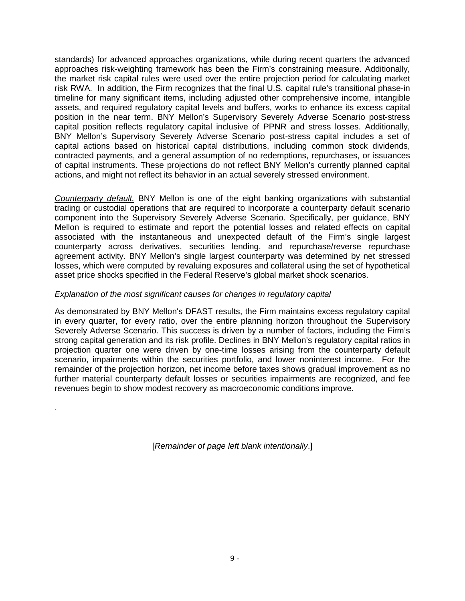standards) for advanced approaches organizations, while during recent quarters the advanced approaches risk-weighting framework has been the Firm's constraining measure. Additionally, the market risk capital rules were used over the entire projection period for calculating market risk RWA. In addition, the Firm recognizes that the final U.S. capital rule's transitional phase-in timeline for many significant items, including adjusted other comprehensive income, intangible assets, and required regulatory capital levels and buffers, works to enhance its excess capital position in the near term. BNY Mellon's Supervisory Severely Adverse Scenario post-stress capital position reflects regulatory capital inclusive of PPNR and stress losses. Additionally, BNY Mellon's Supervisory Severely Adverse Scenario post-stress capital includes a set of capital actions based on historical capital distributions, including common stock dividends, contracted payments, and a general assumption of no redemptions, repurchases, or issuances of capital instruments. These projections do not reflect BNY Mellon's currently planned capital actions, and might not reflect its behavior in an actual severely stressed environment.

Counterparty default. BNY Mellon is one of the eight banking organizations with substantial trading or custodial operations that are required to incorporate a counterparty default scenario component into the Supervisory Severely Adverse Scenario. Specifically, per guidance, BNY Mellon is required to estimate and report the potential losses and related effects on capital associated with the instantaneous and unexpected default of the Firm's single largest counterparty across derivatives, securities lending, and repurchase/reverse repurchase agreement activity. BNY Mellon's single largest counterparty was determined by net stressed losses, which were computed by revaluing exposures and collateral using the set of hypothetical asset price shocks specified in the Federal Reserve's global market shock scenarios.

#### Explanation of the most significant causes for changes in regulatory capital

.

As demonstrated by BNY Mellon's DFAST results, the Firm maintains excess regulatory capital in every quarter, for every ratio, over the entire planning horizon throughout the Supervisory Severely Adverse Scenario. This success is driven by a number of factors, including the Firm's strong capital generation and its risk profile. Declines in BNY Mellon's regulatory capital ratios in projection quarter one were driven by one-time losses arising from the counterparty default scenario, impairments within the securities portfolio, and lower noninterest income. For the remainder of the projection horizon, net income before taxes shows gradual improvement as no further material counterparty default losses or securities impairments are recognized, and fee revenues begin to show modest recovery as macroeconomic conditions improve.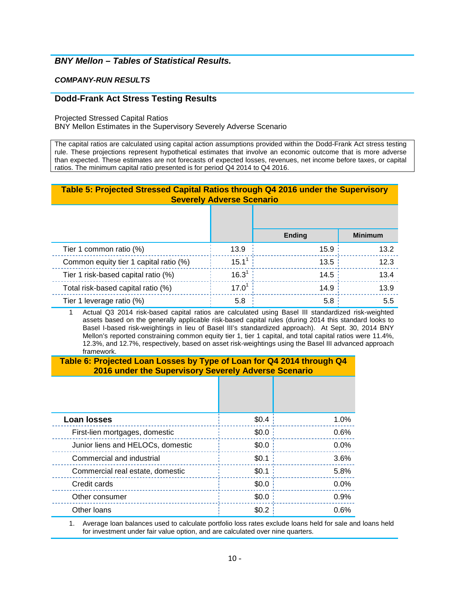# **BNY Mellon – Tables of Statistical Results.**

#### **COMPANY-RUN RESULTS**

#### **Dodd-Frank Act Stress Testing Results**

Projected Stressed Capital Ratios

BNY Mellon Estimates in the Supervisory Severely Adverse Scenario

 The capital ratios are calculated using capital action assumptions provided within the Dodd-Frank Act stress testing rule. These projections represent hypothetical estimates that involve an economic outcome that is more adverse than expected. These estimates are not forecasts of expected losses, revenues, net income before taxes, or capital ratios. The minimum capital ratio presented is for period Q4 2014 to Q4 2016.

## **Table 5: Projected Stressed Capital Ratios through Q4 2016 under the Supervisory Severely Adverse Scenario**

|                                        |            | <b>Ending</b> | <b>Minimum</b> |
|----------------------------------------|------------|---------------|----------------|
| Tier 1 common ratio (%)                | 13.9       | 15.9          | 13.2           |
| Common equity tier 1 capital ratio (%) | $15.1^1$   | 13.5          | 12.3           |
| Tier 1 risk-based capital ratio (%)    | $16.3^{1}$ | 14.5          | 13.4           |
| Total risk-based capital ratio (%)     | $17.0^{1}$ | 14.9          | 13.9           |
| Tier 1 leverage ratio (%)              | 5.8        | 5.8           | 5.5            |

 $\mathbf{1}$  assets based on the generally applicable risk-based capital rules (during 2014 this standard looks to Basel I-based risk-weightings in lieu of Basel III's standardized approach). At Sept. 30, 2014 BNY Mellon's reported constraining common equity tier 1, tier 1 capital, and total capital ratios were 11.4%, 12.3%, and 12.7%, respectively, based on asset risk-weightings using the Basel III advanced approach Actual Q3 2014 risk-based capital ratios are calculated using Basel III standardized risk-weighted framework.

#### **Table 6: Projected Loan Losses by Type of Loan for Q4 2014 through Q4 2016 under the Supervisory Severely Adverse Scenario**

| <b>Loan losses</b>                | \$0.4 | 1.0% |
|-----------------------------------|-------|------|
| First-lien mortgages, domestic    | \$0.0 | 0.6% |
| Junior liens and HELOCs, domestic | \$0.0 | 0.0% |
| Commercial and industrial         | \$0.1 | 3.6% |
| Commercial real estate, domestic  | \$0.1 | 5.8% |
| Credit cards                      | \$0.0 | 0.0% |
| Other consumer                    | \$0.0 | 0.9% |
| Other Ioans                       | \$0.2 | 0.6% |

 1. Average loan balances used to calculate portfolio loss rates exclude loans held for sale and loans held for investment under fair value option, and are calculated over nine quarters.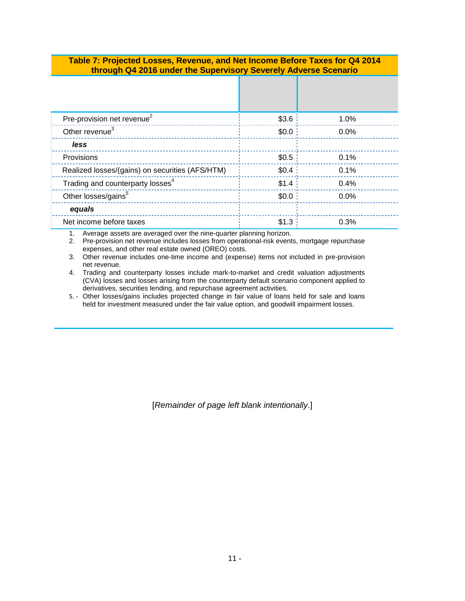#### **Table 7: Projected Losses, Revenue, and Net Income Before Taxes for Q4 2014 through Q4 2016 under the Supervisory Severely Adverse Scenario**

| Pre-provision net revenue <sup>2</sup>          | \$3.6   | 1.0% |
|-------------------------------------------------|---------|------|
| Other revenue <sup>3</sup>                      | \$0.0   | 0.0% |
| less                                            |         |      |
| Provisions                                      | \$0.5   | 0.1% |
| Realized losses/(gains) on securities (AFS/HTM) | \$0.4\$ | 0.1% |
| Trading and counterparty losses <sup>4</sup>    | \$1.4   | 0.4% |
| Other losses/gains <sup>5</sup>                 | \$0.0   | 0.0% |
| equals                                          |         |      |
| Net income before taxes                         | \$1.3   | 0.3% |

1. Average assets are averaged over the nine-quarter planning horizon.

2. Pre-provision net revenue includes losses from operational-risk events, mortgage repurchase expenses, and other real estate owned (OREO) costs.

 3. Other revenue includes one-time income and (expense) items not included in pre-provision net revenue.

4. Trading and counterparty losses include mark-to-market and credit valuation adjustments (CVA) losses and losses arising from the counterparty default scenario component applied to derivatives, securities lending, and repurchase agreement activities.

5. - Other losses/gains includes projected change in fair value of loans held for sale and loans held for investment measured under the fair value option, and goodwill impairment losses.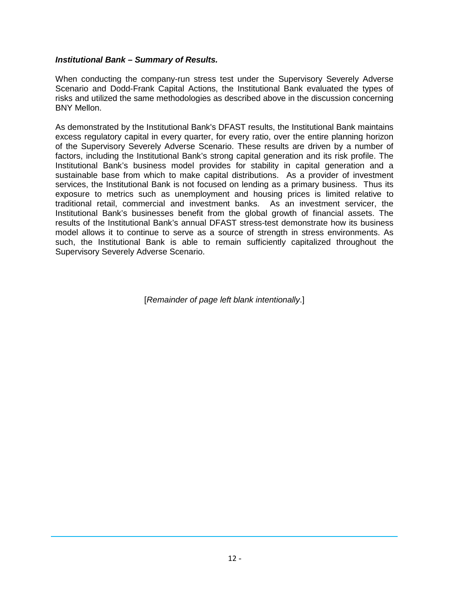### **Institutional Bank – Summary of Results.**

When conducting the company-run stress test under the Supervisory Severely Adverse Scenario and Dodd-Frank Capital Actions, the Institutional Bank evaluated the types of risks and utilized the same methodologies as described above in the discussion concerning BNY Mellon.

As demonstrated by the Institutional Bank's DFAST results, the Institutional Bank maintains excess regulatory capital in every quarter, for every ratio, over the entire planning horizon of the Supervisory Severely Adverse Scenario. These results are driven by a number of factors, including the Institutional Bank's strong capital generation and its risk profile. The Institutional Bank's business model provides for stability in capital generation and a sustainable base from which to make capital distributions. As a provider of investment services, the Institutional Bank is not focused on lending as a primary business. Thus its exposure to metrics such as unemployment and housing prices is limited relative to traditional retail, commercial and investment banks. As an investment servicer, the Institutional Bank's businesses benefit from the global growth of financial assets. The results of the Institutional Bank's annual DFAST stress-test demonstrate how its business model allows it to continue to serve as a source of strength in stress environments. As such, the Institutional Bank is able to remain sufficiently capitalized throughout the Supervisory Severely Adverse Scenario.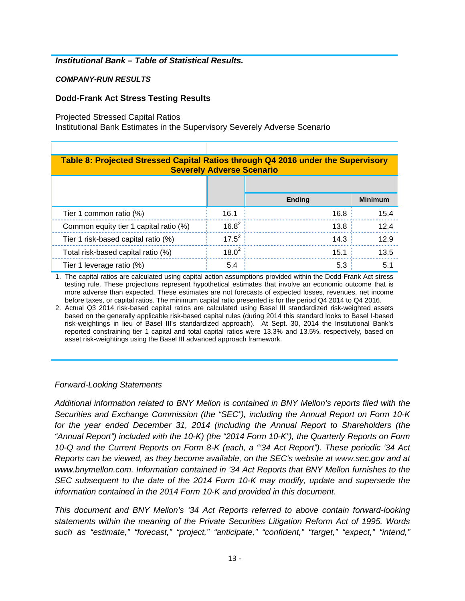## **Institutional Bank – Table of Statistical Results.**

## **COMPANY-RUN RESULTS**

## **Dodd-Frank Act Stress Testing Results**

Projected Stressed Capital Ratios

Institutional Bank Estimates in the Supervisory Severely Adverse Scenario

| Table 8: Projected Stressed Capital Ratios through Q4 2016 under the Supervisory<br><b>Severely Adverse Scenario</b> |            |               |                |
|----------------------------------------------------------------------------------------------------------------------|------------|---------------|----------------|
|                                                                                                                      |            |               |                |
|                                                                                                                      |            | <b>Ending</b> | <b>Minimum</b> |
| Tier 1 common ratio (%)                                                                                              | 16.1       | 16.8:         | 15.4           |
| Common equity tier 1 capital ratio (%)                                                                               | $16.8^{2}$ | 13.8:         | 12.4           |
| Tier 1 risk-based capital ratio (%)                                                                                  | $17.5^2$   | 14.3          | 12.9           |
| Total risk-based capital ratio (%)                                                                                   | $18.0^{2}$ | 15.1          | 13.5           |
| Tier 1 leverage ratio (%)                                                                                            | 5.4        | 5.3           | 5.1            |

1. The capital ratios are calculated using capital action assumptions provided within the Dodd-Frank Act stress testing rule. These projections represent hypothetical estimates that involve an economic outcome that is more adverse than expected. These estimates are not forecasts of expected losses, revenues, net income before taxes, or capital ratios. The minimum capital ratio presented is for the period Q4 2014 to Q4 2016.

2. Actual Q3 2014 risk-based capital ratios are calculated using Basel III standardized risk-weighted assets based on the generally applicable risk-based capital rules (during 2014 this standard looks to Basel I-based risk-weightings in lieu of Basel III's standardized approach). At Sept. 30, 2014 the Institutional Bank's reported constraining tier 1 capital and total capital ratios were 13.3% and 13.5%, respectively, based on asset risk-weightings using the Basel III advanced approach framework.

# Forward-Looking Statements

Additional information related to BNY Mellon is contained in BNY Mellon's reports filed with the Securities and Exchange Commission (the "SEC"), including the Annual Report on Form 10-K for the year ended December 31, 2014 (including the Annual Report to Shareholders (the "Annual Report") included with the 10-K) (the "2014 Form 10-K"), the Quarterly Reports on Form 10-Q and the Current Reports on Form 8-K (each, a "'34 Act Report"). These periodic '34 Act Reports can be viewed, as they become available, on the SEC's website at [www.sec.gov](http:www.sec.gov) and at [www.bnymellon.com.](http:www.bnymellon.com) Information contained in '34 Act Reports that BNY Mellon furnishes to the SEC subsequent to the date of the 2014 Form 10-K may modify, update and supersede the information contained in the 2014 Form 10-K and provided in this document.

This document and BNY Mellon's '34 Act Reports referred to above contain forward-looking statements within the meaning of the Private Securities Litigation Reform Act of 1995. Words such as "estimate," "forecast," "project," "anticipate," "confident," "target," "expect," "intend,"